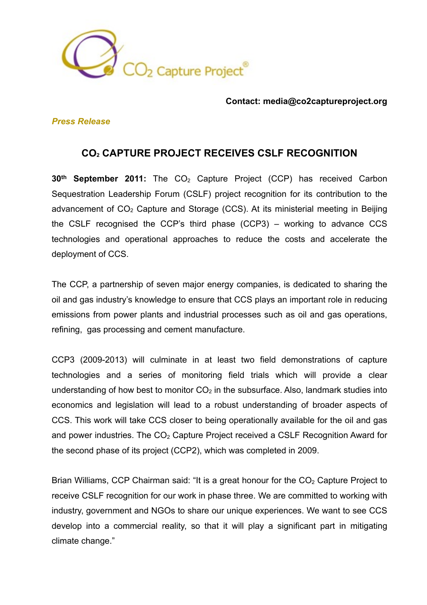

### **Contact: media@co2captureproject.org**

## *Press Release*

# **CO2 CAPTURE PROJECT RECEIVES CSLF RECOGNITION**

**30<sup>th</sup> September 2011:** The CO<sub>2</sub> Capture Project (CCP) has received Carbon Sequestration Leadership Forum (CSLF) project recognition for its contribution to the advancement of  $CO<sub>2</sub>$  Capture and Storage (CCS). At its ministerial meeting in Beijing the CSLF recognised the CCP's third phase (CCP3) – working to advance CCS technologies and operational approaches to reduce the costs and accelerate the deployment of CCS.

The CCP, a partnership of seven major energy companies, is dedicated to sharing the oil and gas industry's knowledge to ensure that CCS plays an important role in reducing emissions from power plants and industrial processes such as oil and gas operations, refining, gas processing and cement manufacture.

CCP3 (2009-2013) will culminate in at least two field demonstrations of capture technologies and a series of monitoring field trials which will provide a clear understanding of how best to monitor  $CO<sub>2</sub>$  in the subsurface. Also, landmark studies into economics and legislation will lead to a robust understanding of broader aspects of CCS. This work will take CCS closer to being operationally available for the oil and gas and power industries. The  $CO<sub>2</sub>$  Capture Project received a CSLF Recognition Award for the second phase of its project (CCP2), which was completed in 2009.

Brian Williams, CCP Chairman said: "It is a great honour for the  $CO<sub>2</sub>$  Capture Project to receive CSLF recognition for our work in phase three. We are committed to working with industry, government and NGOs to share our unique experiences. We want to see CCS develop into a commercial reality, so that it will play a significant part in mitigating climate change."